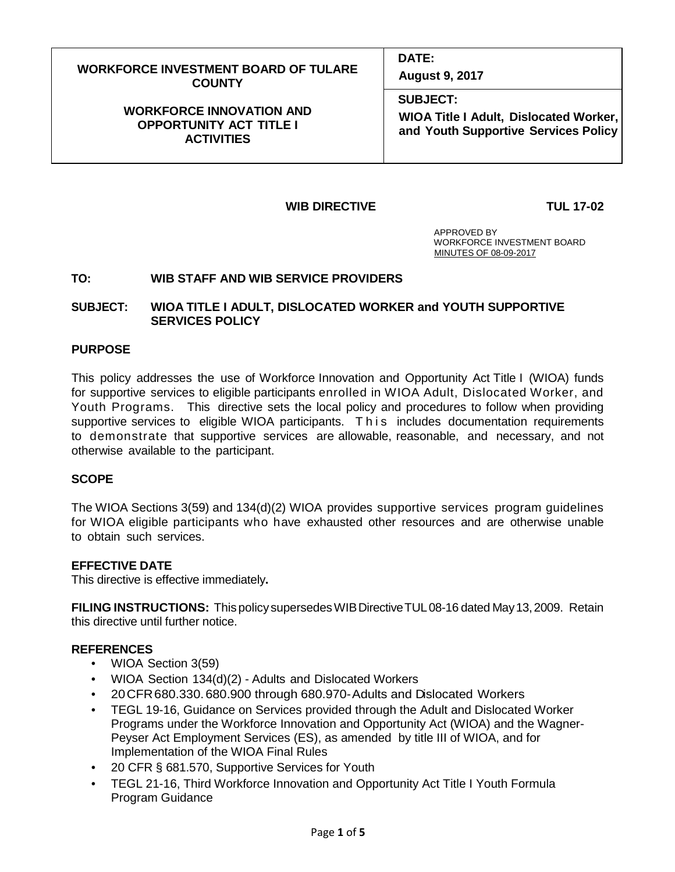| <b>WORKFORCE INVESTMENT BOARD OF TULARE</b> | <b>DATE:</b>                           |
|---------------------------------------------|----------------------------------------|
| <b>COUNTY</b>                               | <b>August 9, 2017</b>                  |
| <b>WORKFORCE INNOVATION AND</b>             | <b>SUBJECT:</b>                        |
| <b>OPPORTUNITY ACT TITLE I</b>              | WIOA Title I Adult, Dislocated Worker, |
| <b>ACTIVITIES</b>                           | and Youth Supportive Services Policy   |

## **WIB DIRECTIVE TUL 17-02**

 APPROVED BY WORKFORCE INVESTMENT BOARD MINUTES OF 08-09-2017

## **TO: WIB STAFF AND WIB SERVICE PROVIDERS**

## **SUBJECT: WIOA TITLE I ADULT, DISLOCATED WORKER and YOUTH SUPPORTIVE SERVICES POLICY**

## **PURPOSE**

This policy addresses the use of Workforce Innovation and Opportunity Act Title I (WIOA) funds for supportive services to eligible participants enrolled in WIOA Adult, Dislocated Worker, and Youth Programs. This directive sets the local policy and procedures to follow when providing supportive services to eligible WIOA participants. This includes documentation requirements to demonstrate that supportive services are allowable, reasonable, and necessary, and not otherwise available to the participant.

## **SCOPE**

The WIOA Sections 3(59) and 134(d)(2) WIOA provides supportive services program guidelines for WIOA eligible participants who have exhausted other resources and are otherwise unable to obtain such services.

## **EFFECTIVE DATE**

This directive is effective immediately**.**

**FILING INSTRUCTIONS:** Thispolicy supersedesWIBDirectiveTUL08-16 dated May13,2009. Retain this directive until further notice.

## **REFERENCES**

- WIOA Section 3(59)
- WIOA Section 134(d)(2) Adults and Dislocated Workers
- 20CFR680.330.680.900 through 680.970-Adults and Dislocated Workers
- TEGL 19-16, Guidance on Services provided through the Adult and Dislocated Worker Programs under the Workforce Innovation and Opportunity Act (WIOA) and the Wagner-Peyser Act Employment Services (ES), as amended by title III of WIOA, and for Implementation of the WIOA Final Rules
- 20 CFR § 681.570, Supportive Services for Youth
- TEGL 21-16, Third Workforce Innovation and Opportunity Act Title I Youth Formula Program Guidance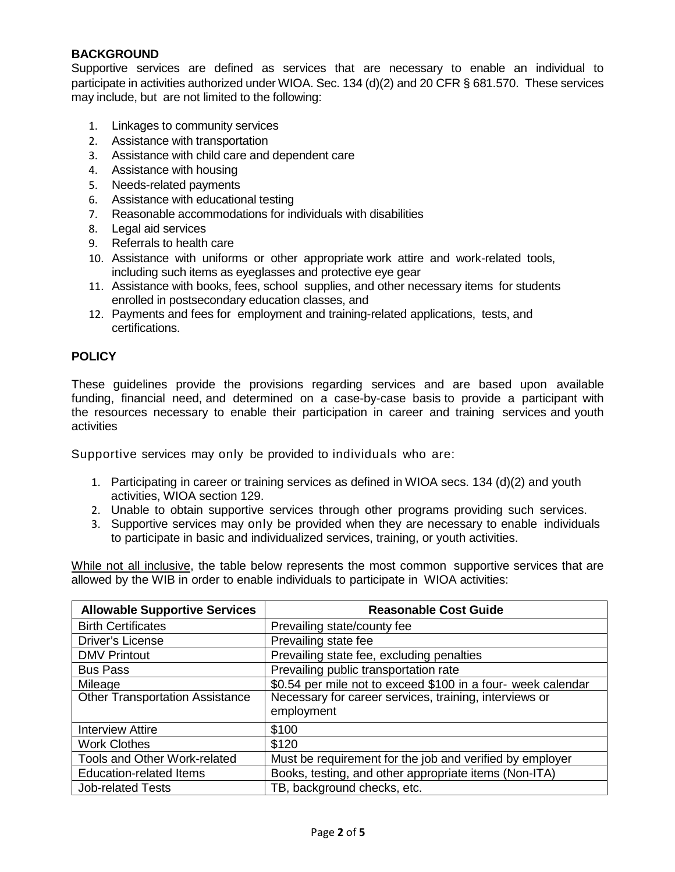# **BACKGROUND**

Supportive services are defined as services that are necessary to enable an individual to participate in activities authorized under WIOA. Sec. 134 (d)(2) and 20 CFR § 681.570. These services may include, but are not limited to the following:

- 1. Linkages to community services
- 2. Assistance with transportation
- 3. Assistance with child care and dependent care
- 4. Assistance with housing
- 5. Needs-related payments
- 6. Assistance with educational testing
- 7. Reasonable accommodations for individuals with disabilities
- 8. Legal aid services
- 9. Referrals to health care
- 10. Assistance with uniforms or other appropriate work attire and work-related tools, including such items as eyeglasses and protective eye gear
- 11. Assistance with books, fees, school supplies, and other necessary items for students enrolled in postsecondary education classes, and
- 12. Payments and fees for employment and training-related applications, tests, and certifications.

# **POLICY**

These guidelines provide the provisions regarding services and are based upon available funding, financial need, and determined on a case-by-case basis to provide a participant with the resources necessary to enable their participation in career and training services and youth activities

Supportive services may only be provided to individuals who are:

- 1. Participating in career or training services as defined in WIOA secs. 134 (d)(2) and youth activities, WIOA section 129.
- 2. Unable to obtain supportive services through other programs providing such services.
- 3. Supportive services may only be provided when they are necessary to enable individuals to participate in basic and individualized services, training, or youth activities.

While not all inclusive, the table below represents the most common supportive services that are allowed by the WIB in order to enable individuals to participate in WIOA activities:

| <b>Allowable Supportive Services</b>   | <b>Reasonable Cost Guide</b>                                         |
|----------------------------------------|----------------------------------------------------------------------|
| <b>Birth Certificates</b>              | Prevailing state/county fee                                          |
| Driver's License                       | Prevailing state fee                                                 |
| <b>DMV Printout</b>                    | Prevailing state fee, excluding penalties                            |
| <b>Bus Pass</b>                        | Prevailing public transportation rate                                |
| Mileage                                | \$0.54 per mile not to exceed \$100 in a four- week calendar         |
| <b>Other Transportation Assistance</b> | Necessary for career services, training, interviews or<br>employment |
| <b>Interview Attire</b>                | \$100                                                                |
| <b>Work Clothes</b>                    | \$120                                                                |
| Tools and Other Work-related           | Must be requirement for the job and verified by employer             |
| <b>Education-related Items</b>         | Books, testing, and other appropriate items (Non-ITA)                |
| <b>Job-related Tests</b>               | TB, background checks, etc.                                          |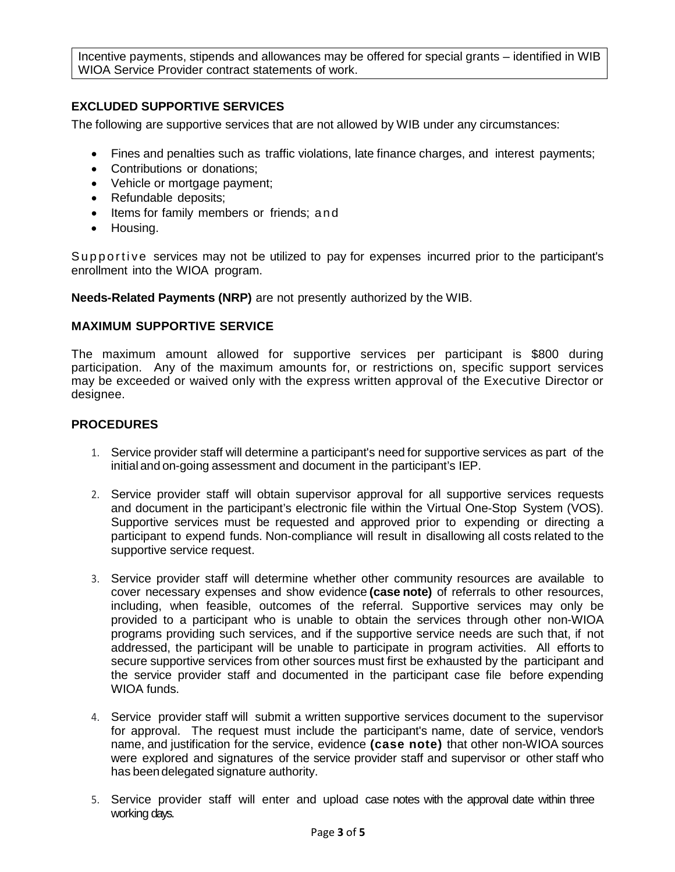Incentive payments, stipends and allowances may be offered for special grants – identified in WIB WIOA Service Provider contract statements of work.

# **EXCLUDED SUPPORTIVE SERVICES**

The following are supportive services that are not allowed by WIB under any circumstances:

- Fines and penalties such as traffic violations, late finance charges, and interest payments;
- Contributions or donations;
- Vehicle or mortgage payment;
- Refundable deposits;
- Items for family members or friends; and
- Housing.

Supportive services may not be utilized to pay for expenses incurred prior to the participant's enrollment into the WIOA program.

**Needs-Related Payments (NRP)** are not presently authorized by the WIB.

## **MAXIMUM SUPPORTIVE SERVICE**

The maximum amount allowed for supportive services per participant is \$800 during participation. Any of the maximum amounts for, or restrictions on, specific support services may be exceeded or waived only with the express written approval of the Executive Director or designee.

## **PROCEDURES**

- 1. Service provider staff will determine a participant's need for supportive services as part of the initial and on-going assessment and document in the participant's IEP.
- 2. Service provider staff will obtain supervisor approval for all supportive services requests and document in the participant's electronic file within the Virtual One-Stop System (VOS). Supportive services must be requested and approved prior to expending or directing a participant to expend funds. Non-compliance will result in disallowing all costs related to the supportive service request.
- 3. Service provider staff will determine whether other community resources are available to cover necessary expenses and show evidence **(case note)** of referrals to other resources, including, when feasible, outcomes of the referral. Supportive services may only be provided to a participant who is unable to obtain the services through other non-WIOA programs providing such services, and if the supportive service needs are such that, if not addressed, the participant will be unable to participate in program activities. All efforts to secure supportive services from other sources must first be exhausted by the participant and the service provider staff and documented in the participant case file before expending WIOA funds.
- 4. Service provider staff will submit a written supportive services document to the supervisor for approval. The request must include the participant's name, date of service, vendor's name, and justification for the service, evidence **(case note)** that other non-WIOA sources were explored and signatures of the service provider staff and supervisor or other staff who has been delegated signature authority.
- 5. Service provider staff will enter and upload case notes with the approval date within three working days.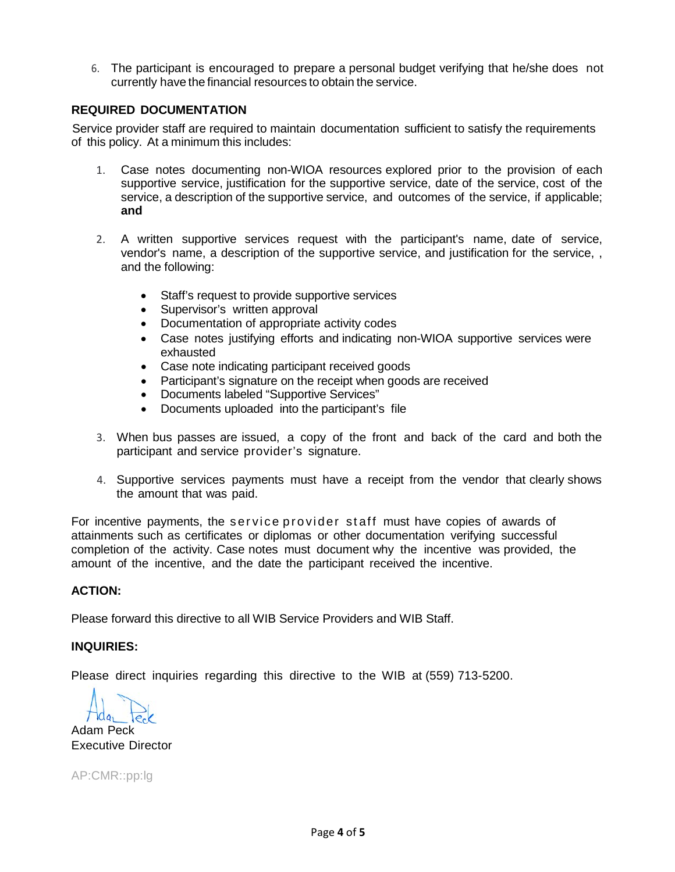6. The participant is encouraged to prepare a personal budget verifying that he/she does not currently have the financial resources to obtain the service.

# **REQUIRED DOCUMENTATION**

Service provider staff are required to maintain documentation sufficient to satisfy the requirements of this policy. At a minimum this includes:

- 1. Case notes documenting non-WIOA resources explored prior to the provision of each supportive service, justification for the supportive service, date of the service, cost of the service, a description of the supportive service, and outcomes of the service, if applicable; **and**
- 2. A written supportive services request with the participant's name, date of service, vendor's name, a description of the supportive service, and justification for the service, , and the following:
	- Staff's request to provide supportive services
	- Supervisor's written approval
	- Documentation of appropriate activity codes
	- Case notes justifying efforts and indicating non-WIOA supportive services were exhausted
	- Case note indicating participant received goods
	- Participant's signature on the receipt when goods are received
	- Documents labeled "Supportive Services"
	- Documents uploaded into the participant's file
- 3. When bus passes are issued, a copy of the front and back of the card and both the participant and service provider's signature.
- 4. Supportive services payments must have a receipt from the vendor that clearly shows the amount that was paid.

For incentive payments, the service provider staff must have copies of awards of attainments such as certificates or diplomas or other documentation verifying successful completion of the activity. Case notes must document why the incentive was provided, the amount of the incentive, and the date the participant received the incentive.

## **ACTION:**

Please forward this directive to all WIB Service Providers and WIB Staff.

## **INQUIRIES:**

Please direct inquiries regarding this directive to the WIB at (559) 713-5200.

Adam Peck Executive Director

AP:CMR::pp:lg